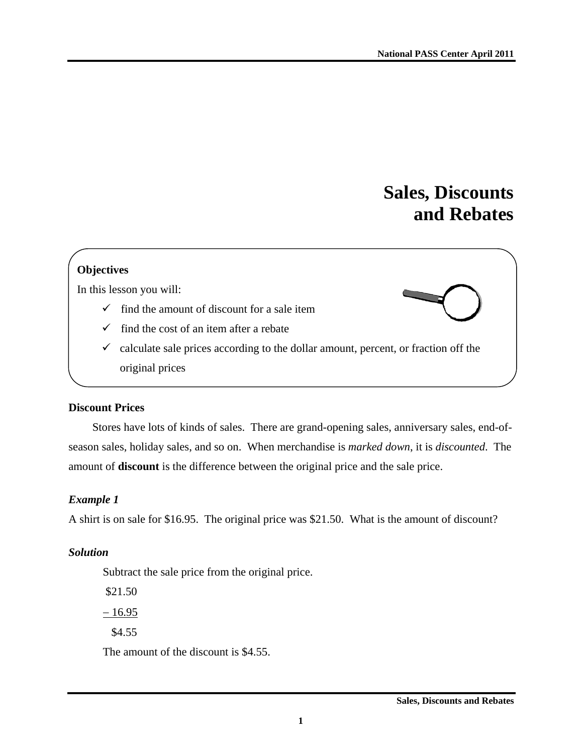# **Sales, Discounts and Rebates**

## **Objectives**

In this lesson you will:

- $\checkmark$  find the amount of discount for a sale item
- $\checkmark$  find the cost of an item after a rebate
- $\checkmark$  calculate sale prices according to the dollar amount, percent, or fraction off the original prices

#### **Discount Prices**

Stores have lots of kinds of sales. There are grand-opening sales, anniversary sales, end-ofseason sales, holiday sales, and so on. When merchandise is *marked down*, it is *discounted*. The amount of **discount** is the difference between the original price and the sale price.

## *Example 1*

A shirt is on sale for \$16.95. The original price was \$21.50. What is the amount of discount?

## *Solution*

Subtract the sale price from the original price.

 \$21.50  $-16.95$ \$4.55

The amount of the discount is \$4.55.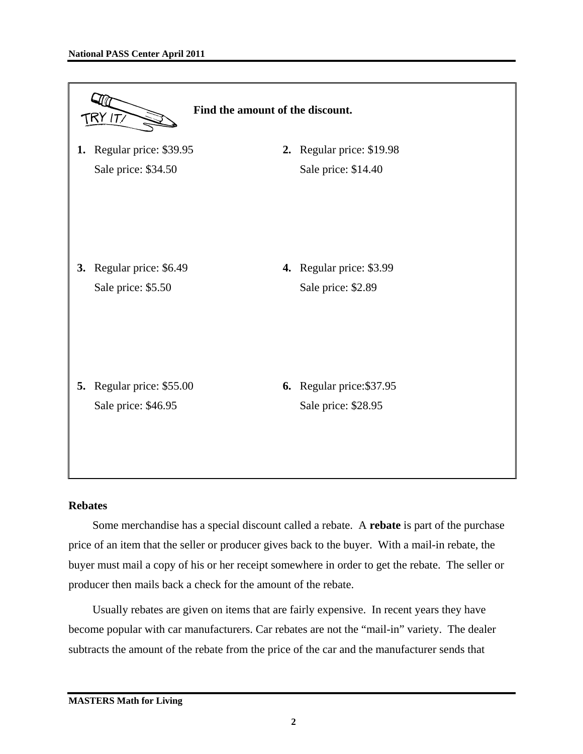

#### **Rebates**

Some merchandise has a special discount called a rebate. A **rebate** is part of the purchase price of an item that the seller or producer gives back to the buyer. With a mail-in rebate, the buyer must mail a copy of his or her receipt somewhere in order to get the rebate. The seller or producer then mails back a check for the amount of the rebate.

Usually rebates are given on items that are fairly expensive. In recent years they have become popular with car manufacturers. Car rebates are not the "mail-in" variety. The dealer subtracts the amount of the rebate from the price of the car and the manufacturer sends that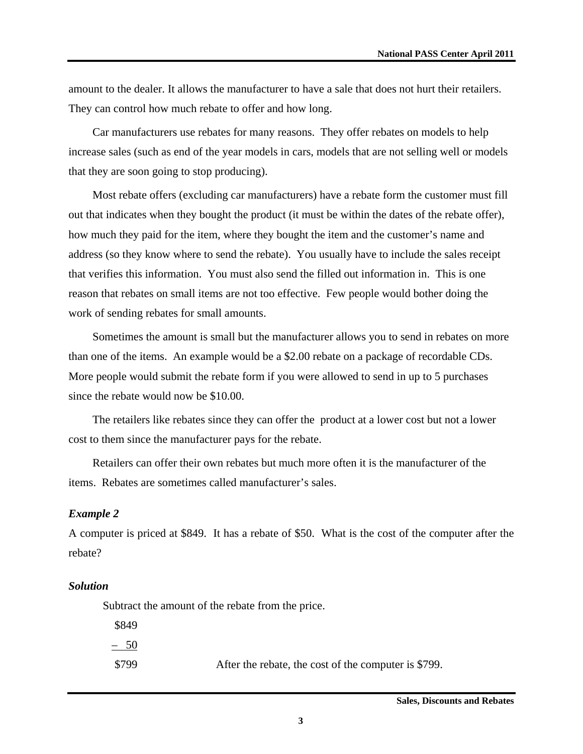amount to the dealer. It allows the manufacturer to have a sale that does not hurt their retailers. They can control how much rebate to offer and how long.

Car manufacturers use rebates for many reasons. They offer rebates on models to help increase sales (such as end of the year models in cars, models that are not selling well or models that they are soon going to stop producing).

Most rebate offers (excluding car manufacturers) have a rebate form the customer must fill out that indicates when they bought the product (it must be within the dates of the rebate offer), how much they paid for the item, where they bought the item and the customer's name and address (so they know where to send the rebate). You usually have to include the sales receipt that verifies this information. You must also send the filled out information in. This is one reason that rebates on small items are not too effective. Few people would bother doing the work of sending rebates for small amounts.

Sometimes the amount is small but the manufacturer allows you to send in rebates on more than one of the items. An example would be a \$2.00 rebate on a package of recordable CDs. More people would submit the rebate form if you were allowed to send in up to 5 purchases since the rebate would now be \$10.00.

The retailers like rebates since they can offer the product at a lower cost but not a lower cost to them since the manufacturer pays for the rebate.

Retailers can offer their own rebates but much more often it is the manufacturer of the items. Rebates are sometimes called manufacturer's sales.

#### *Example 2*

A computer is priced at \$849. It has a rebate of \$50. What is the cost of the computer after the rebate?

#### *Solution*

Subtract the amount of the rebate from the price.

\$849

– 50

\$799 After the rebate, the cost of the computer is \$799.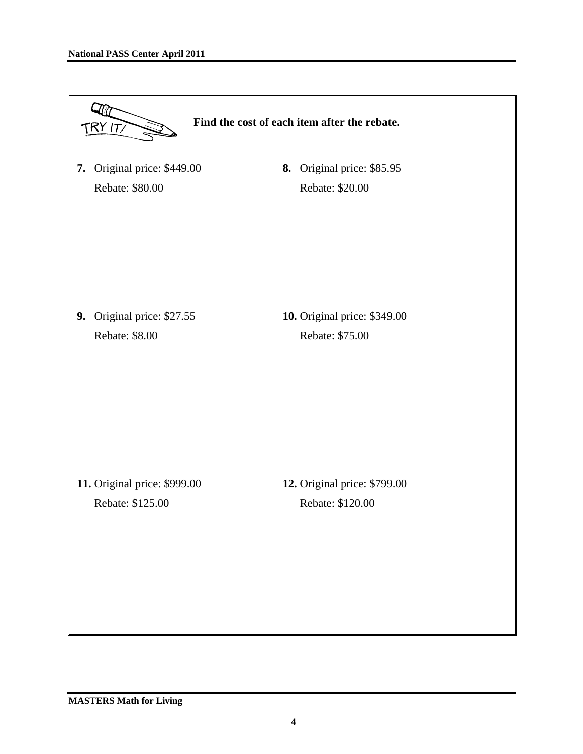| TRY IT/                                           | Find the cost of each item after the rebate.     |
|---------------------------------------------------|--------------------------------------------------|
| Original price: \$449.00<br>7.<br>Rebate: \$80.00 | 8. Original price: \$85.95<br>Rebate: \$20.00    |
| Original price: \$27.55<br>9.<br>Rebate: \$8.00   | 10. Original price: \$349.00<br>Rebate: \$75.00  |
| 11. Original price: \$999.00<br>Rebate: \$125.00  | 12. Original price: \$799.00<br>Rebate: \$120.00 |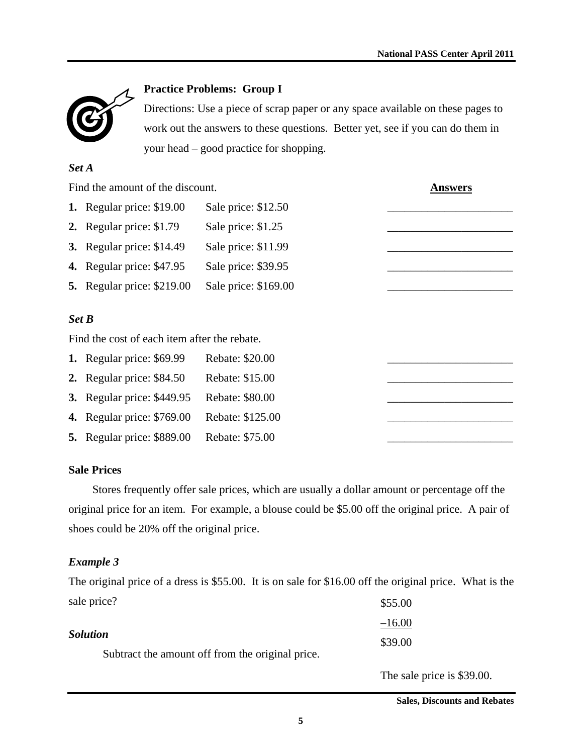

## **Practice Problems: Group I**

Directions: Use a piece of scrap paper or any space available on these pages to work out the answers to these questions. Better yet, see if you can do them in your head – good practice for shopping.

#### *Set A*

|           | Find the amount of the discount.             | <b>Answers</b>       |  |
|-----------|----------------------------------------------|----------------------|--|
|           | <b>1.</b> Regular price: \$19.00             | Sale price: \$12.50  |  |
|           | 2. Regular price: \$1.79                     | Sale price: \$1.25   |  |
| <b>3.</b> | Regular price: \$14.49                       | Sale price: \$11.99  |  |
| 4.        | Regular price: \$47.95                       | Sale price: \$39.95  |  |
| 5.        | Regular price: \$219.00                      | Sale price: \$169.00 |  |
| Set B     |                                              |                      |  |
|           | Find the cost of each item after the rebate. |                      |  |
|           | <b>1.</b> Regular price: \$69.99             | Rebate: \$20.00      |  |
|           | 2. Regular price: \$84.50                    | Rebate: \$15.00      |  |
| 3.        | Regular price: \$449.95                      | Rebate: \$80.00      |  |
| 4.        | Regular price: \$769.00                      | Rebate: \$125.00     |  |
| 5.        | Regular price: \$889.00                      | Rebate: \$75.00      |  |

## **Sale Prices**

Stores frequently offer sale prices, which are usually a dollar amount or percentage off the original price for an item. For example, a blouse could be \$5.00 off the original price. A pair of shoes could be 20% off the original price.

## *Example 3*

The original price of a dress is \$55.00. It is on sale for \$16.00 off the original price. What is the sale price? \$55.00

| $-16.00$ |
|----------|
| \$39.00  |
|          |
|          |

The sale price is \$39.00.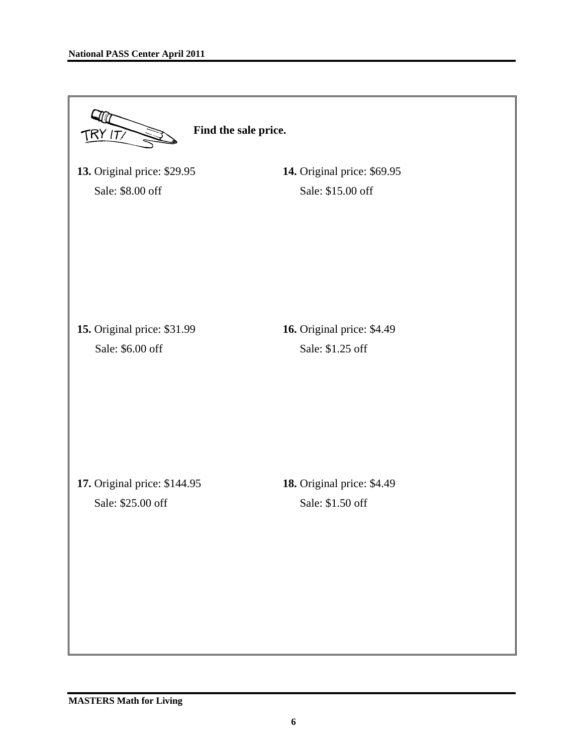| Find the sale price.<br>$\mathsf{IRY}$ IT/        |                                                |  |  |  |  |
|---------------------------------------------------|------------------------------------------------|--|--|--|--|
| 13. Original price: \$29.95                       | 14. Original price: \$69.95                    |  |  |  |  |
| Sale: \$8.00 off                                  | Sale: \$15.00 off                              |  |  |  |  |
| 15. Original price: \$31.99<br>Sale: \$6.00 off   | 16. Original price: \$4.49<br>Sale: \$1.25 off |  |  |  |  |
| 17. Original price: \$144.95<br>Sale: \$25.00 off | 18. Original price: \$4.49<br>Sale: \$1.50 off |  |  |  |  |
|                                                   |                                                |  |  |  |  |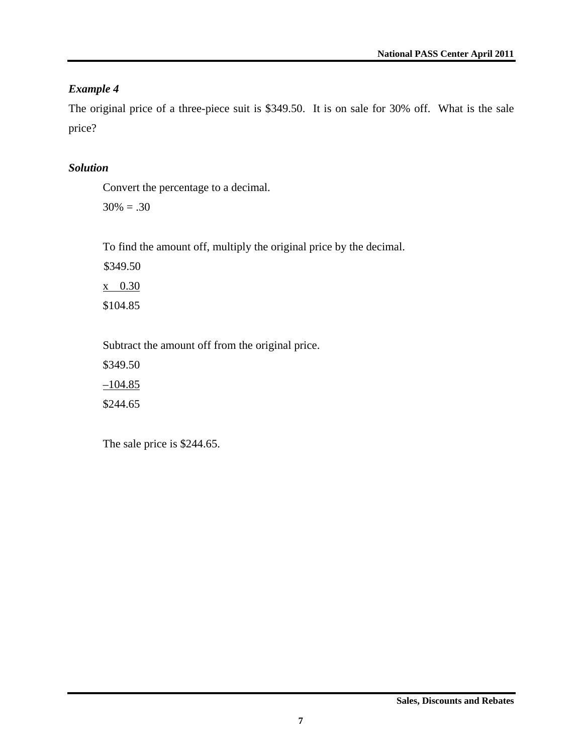## *Example 4*

The original price of a three-piece suit is \$349.50. It is on sale for 30% off. What is the sale price?

## *Solution*

Convert the percentage to a decimal.

 $30\% = .30$ 

To find the amount off, multiply the original price by the decimal.

\$349.50 x 0.30 \$104.85

Subtract the amount off from the original price.

\$349.50  $-104.85$ \$244.65

The sale price is \$244.65.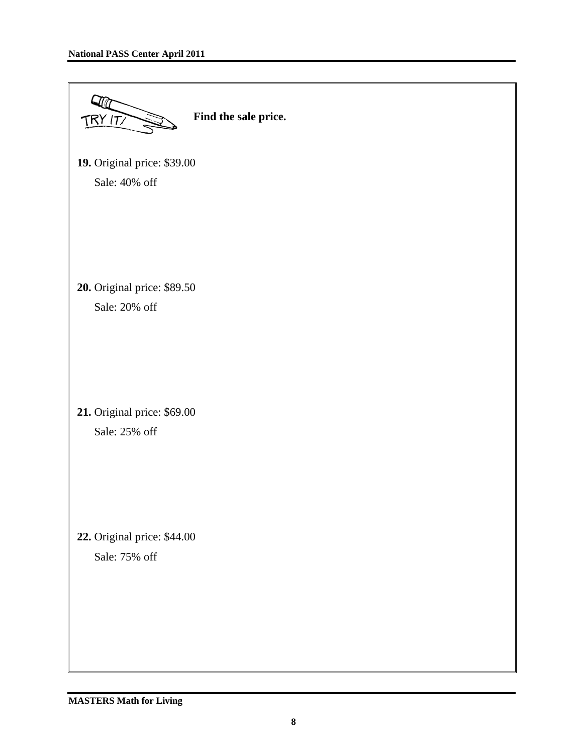| 19. Original price: \$39.00<br>Sale: 40% off<br>20. Original price: \$89.50<br>Sale: 20% off |
|----------------------------------------------------------------------------------------------|
|                                                                                              |
|                                                                                              |
| 21. Original price: \$69.00<br>Sale: 25% off                                                 |
| 22. Original price: \$44.00<br>Sale: 75% off                                                 |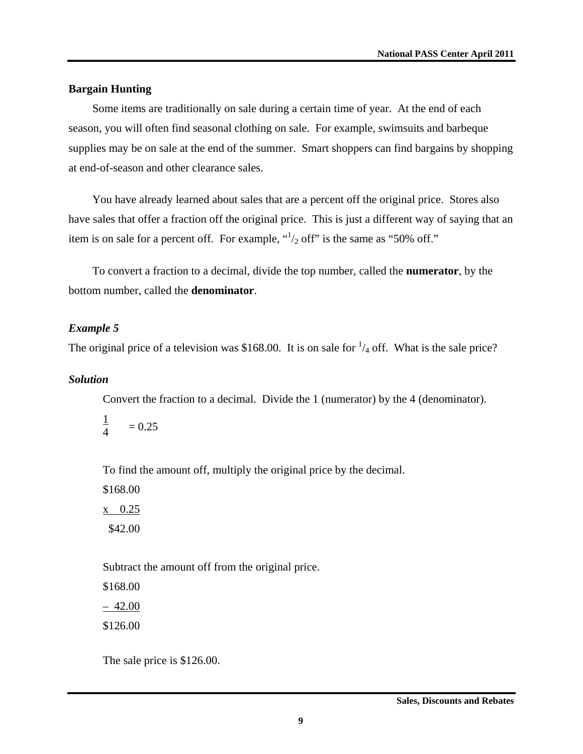#### **Bargain Hunting**

Some items are traditionally on sale during a certain time of year. At the end of each season, you will often find seasonal clothing on sale. For example, swimsuits and barbeque supplies may be on sale at the end of the summer. Smart shoppers can find bargains by shopping at end-of-season and other clearance sales.

You have already learned about sales that are a percent off the original price. Stores also have sales that offer a fraction off the original price. This is just a different way of saying that an item is on sale for a percent off. For example,  $\binom{1}{2}$  off" is the same as "50% off."

To convert a fraction to a decimal, divide the top number, called the **numerator**, by the bottom number, called the **denominator**.

#### *Example 5*

The original price of a television was \$168.00. It is on sale for  $\frac{1}{4}$  off. What is the sale price?

#### *Solution*

Convert the fraction to a decimal. Divide the 1 (numerator) by the 4 (denominator).

$$
\frac{1}{4} \qquad =0.25
$$

To find the amount off, multiply the original price by the decimal.

\$168.00 x 0.25 \$42.00

Subtract the amount off from the original price.

\$168.00 – 42.00 \$126.00

The sale price is \$126.00.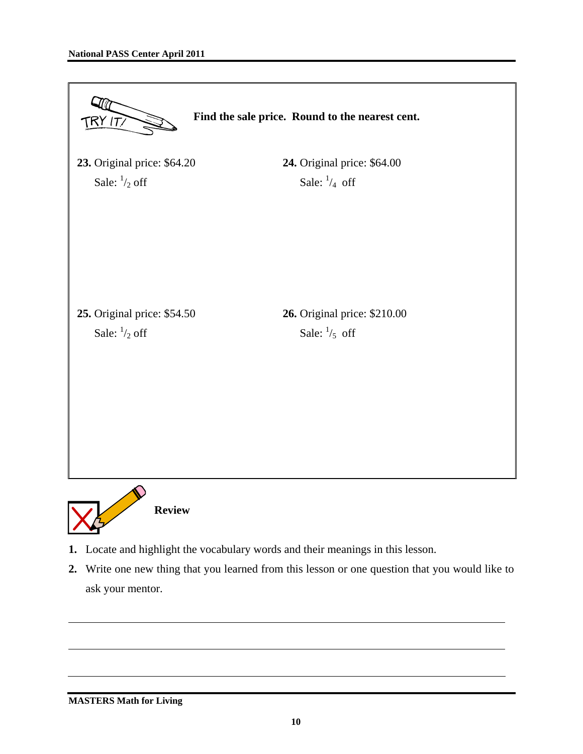

**2.** Write one new thing that you learned from this lesson or one question that you would like to ask your mentor.

#### **MASTERS Math for Living**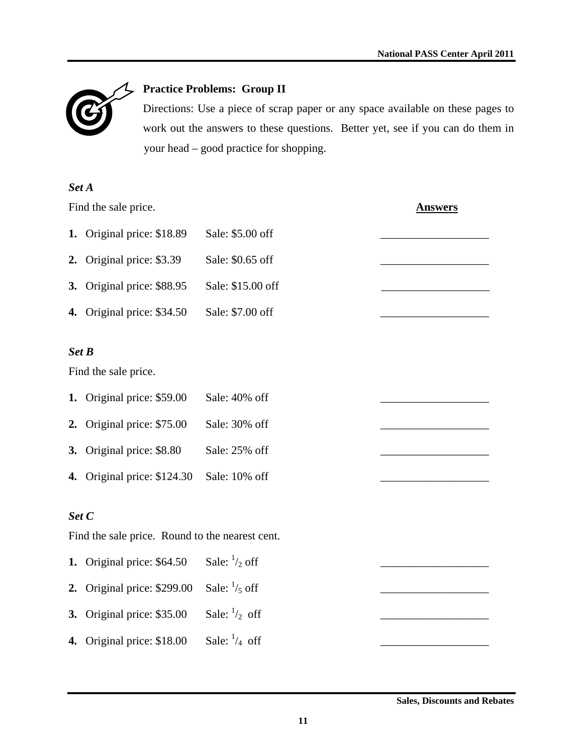

# **Practice Problems: Group II**

Directions: Use a piece of scrap paper or any space available on these pages to work out the answers to these questions. Better yet, see if you can do them in your head – good practice for shopping.

| Set A                                           |                             |                         |  |  |  |  |
|-------------------------------------------------|-----------------------------|-------------------------|--|--|--|--|
|                                                 | Find the sale price.        | <u>Answers</u>          |  |  |  |  |
|                                                 | 1. Original price: \$18.89  | Sale: \$5.00 off        |  |  |  |  |
| 2.                                              | Original price: \$3.39      | Sale: \$0.65 off        |  |  |  |  |
| 3.                                              | Original price: \$88.95     | Sale: \$15.00 off       |  |  |  |  |
|                                                 | 4. Original price: \$34.50  | Sale: \$7.00 off        |  |  |  |  |
| Set B                                           |                             |                         |  |  |  |  |
|                                                 | Find the sale price.        |                         |  |  |  |  |
|                                                 | 1. Original price: \$59.00  | Sale: 40% off           |  |  |  |  |
| 2.                                              | Original price: \$75.00     | Sale: 30% off           |  |  |  |  |
|                                                 | 3. Original price: \$8.80   | Sale: 25% off           |  |  |  |  |
|                                                 | 4. Original price: \$124.30 | Sale: 10% off           |  |  |  |  |
| Set C                                           |                             |                         |  |  |  |  |
| Find the sale price. Round to the nearest cent. |                             |                         |  |  |  |  |
|                                                 | 1. Original price: \$64.50  | Sale: $\frac{1}{2}$ off |  |  |  |  |
| 2.                                              | Original price: \$299.00    | Sale: $\frac{1}{5}$ off |  |  |  |  |
| 3.                                              | Original price: \$35.00     | Sale: $\frac{1}{2}$ off |  |  |  |  |
|                                                 | 4. Original price: \$18.00  | Sale: $\frac{1}{4}$ off |  |  |  |  |

**Sales, Discounts and Rebates**